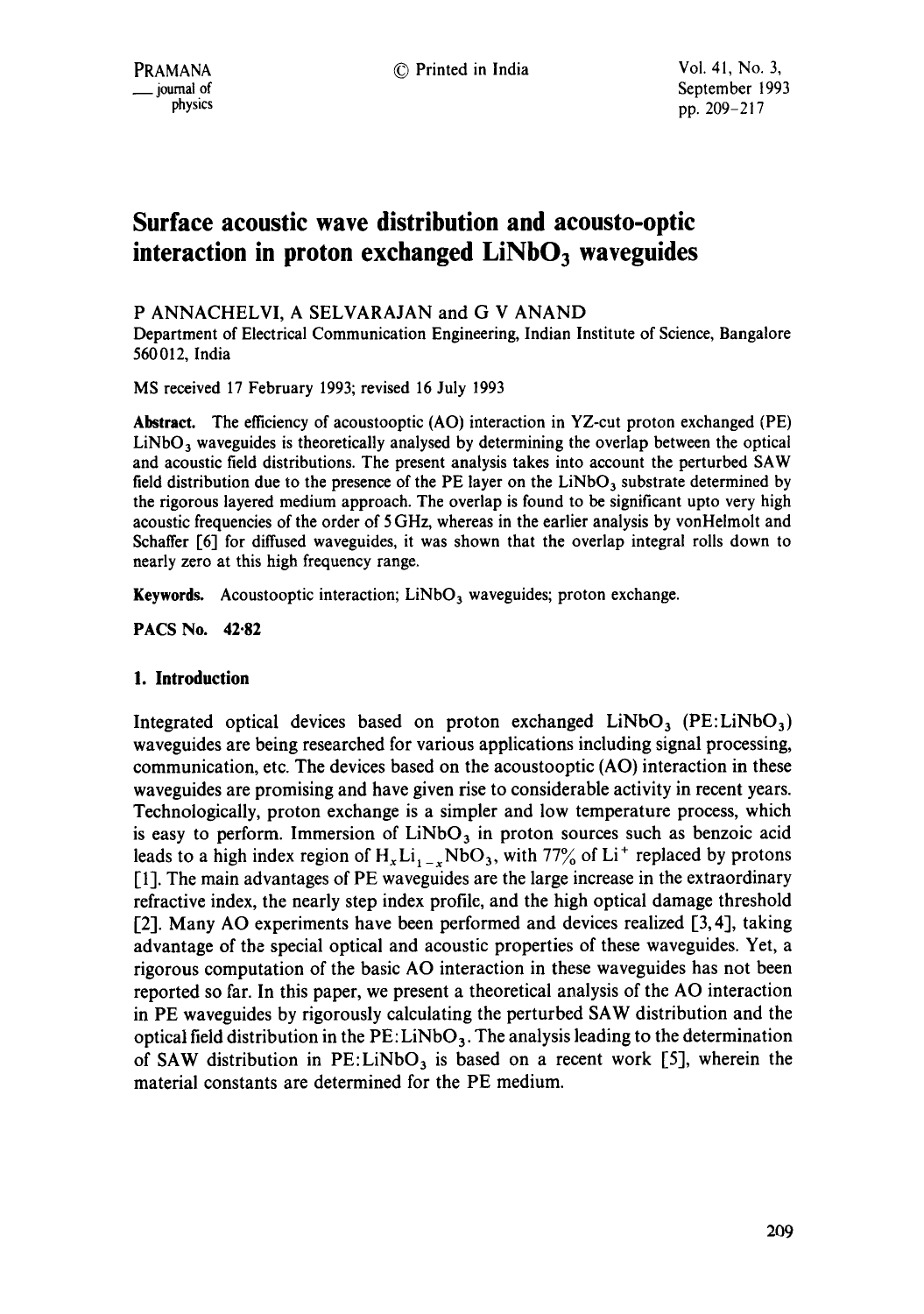# **Surface acoustic wave distribution and acousto-optic**  interaction in proton exchanged LiNbO<sub>3</sub> waveguides

P ANNACHELVI, A SELVARAJAN and G V ANAND

Department of Electrical Communication Engineering, Indian Institute of Science, Bangalore 560012, India

MS received 17 February 1993; revised 16 July 1993

**Abstract.** The efficiency of acoustooptic (AO) interaction in YZ-cut proton exchanged (PE)  $LiNbO<sub>3</sub>$  waveguides is theoretically analysed by determining the overlap between the optical and acoustic field distributions. The present analysis takes into account the perturbed SAW field distribution due to the presence of the PE layer on the  $LiNbO<sub>3</sub>$  substrate determined by the rigorous layered medium approach. The overlap is found to be significant upto very high acoustic frequencies of the order of 5 GHz, whereas in the earlier analysis by vonHelmolt and Schaffer [6] for diffused waveguides, it was shown that the overlap integral rolls down to nearly zero at this high frequency range.

Keywords. Acoustooptic interaction; LiNbO<sub>3</sub> waveguides; proton exchange.

**PACS No. 42"82** 

## **1. Introduction**

Integrated optical devices based on proton exchanged  $LiNbO<sub>3</sub>$  (PE:LiNbO<sub>3</sub>) waveguides are being researched for various applications including signal processing, communication, etc. The devices based on the acoustooptic (AO) interaction in these waveguides are promising and have given rise to considerable activity in recent years. Technologically, proton exchange is a simpler and low temperature process, which is easy to perform. Immersion of  $LiNbO<sub>3</sub>$  in proton sources such as benzoic acid leads to a high index region of  $H_xLi_{1-x}NbO_3$ , with  $77\%$  of Li<sup>+</sup> replaced by protons [1]. The main advantages of PE waveguides are the large increase in the extraordinary refractive index, the nearly step index profile, and the high optical damage threshold [2]. Many AO experiments have been performed and devices realized  $[3, 4]$ , taking advantage of the special optical and acoustic properties of these waveguides. Yet, a rigorous computation of the basic AO interaction in these waveguides has not been reported so far. In this paper, we present a theoretical analysis of the AO interaction in PE waveguides by rigorously calculating the perturbed SAW distribution and the optical field distribution in the  $PE:LiNbO<sub>3</sub>$ . The analysis leading to the determination of SAW distribution in PE:LiNbO<sub>3</sub> is based on a recent work [5], wherein the material constants are determined for the PE medium.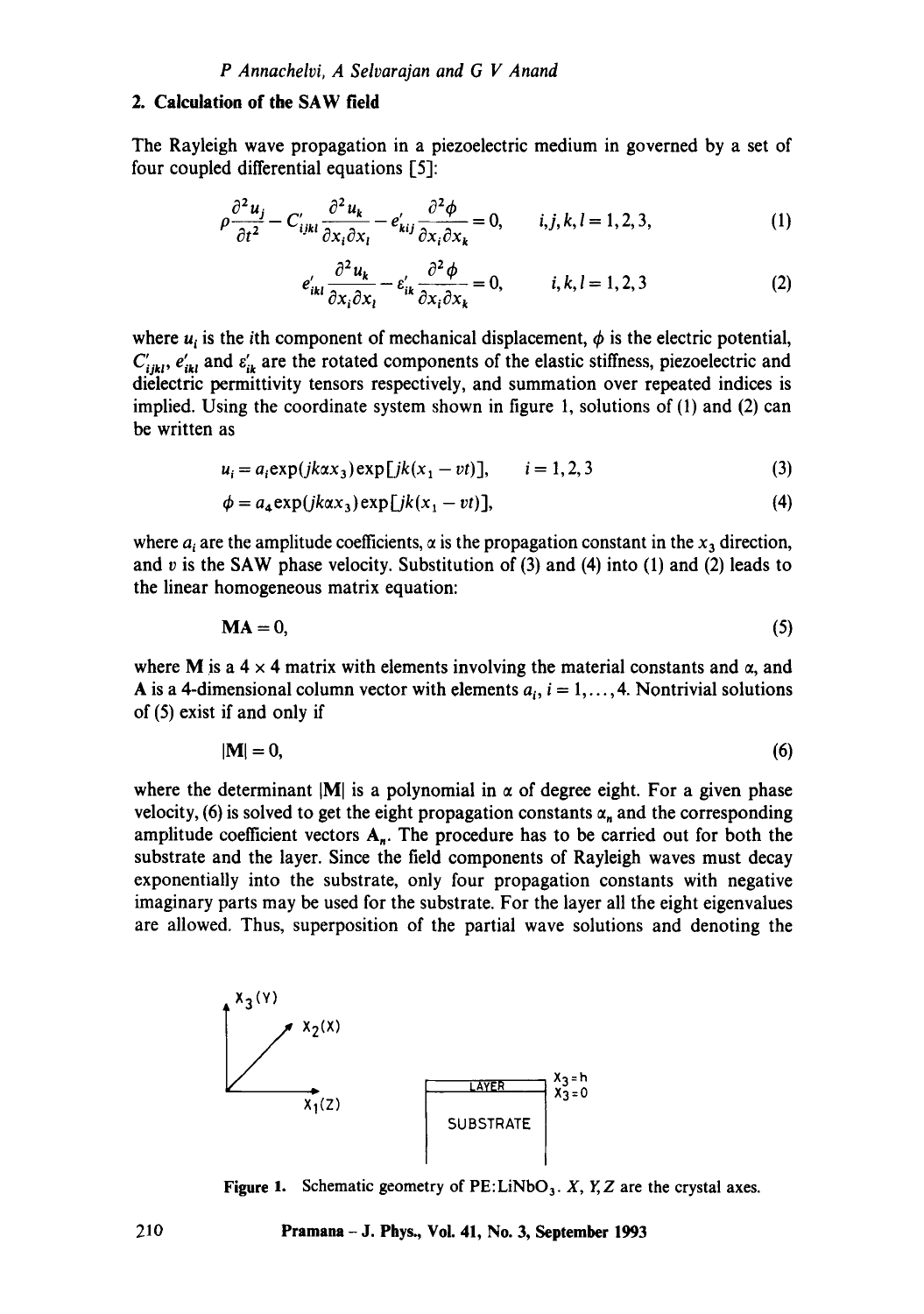## 2. Calculation of the SAW **field**

The Rayleigh wave propagation in a piezoelectric medium in governed by a set of four coupled differential equations [5]:

$$
\rho \frac{\partial^2 u_j}{\partial t^2} - C'_{ijkl} \frac{\partial^2 u_k}{\partial x_i \partial x_l} - e'_{kij} \frac{\partial^2 \phi}{\partial x_i \partial x_k} = 0, \qquad i, j, k, l = 1, 2, 3,
$$
 (1)

$$
e'_{ikl}\frac{\partial^2 u_k}{\partial x_i \partial x_l} - \varepsilon'_{ik}\frac{\partial^2 \phi}{\partial x_i \partial x_k} = 0, \qquad i, k, l = 1, 2, 3
$$
 (2)

where  $u_i$  is the *i*th component of mechanical displacement,  $\phi$  is the electric potential,  $C'_{ijkl}$ ,  $e'_{ikl}$  and  $e'_{ik}$  are the rotated components of the elastic stiffness, piezoelectric and dielectric permittivity tensors respectively, and summation over repeated indices is implied. Using the coordinate system shown in figure 1, solutions of (1) and (2) can be written as

$$
u_i = a_i \exp(jk\alpha x_3) \exp[jk(x_1 - vt)], \qquad i = 1, 2, 3
$$
 (3)

$$
\phi = a_4 \exp(jk\alpha x_3) \exp[jk(x_1 - vt)],\tag{4}
$$

where  $a_i$  are the amplitude coefficients,  $\alpha$  is the propagation constant in the  $x_3$  direction, and v is the SAW phase velocity. Substitution of  $(3)$  and  $(4)$  into  $(1)$  and  $(2)$  leads to the linear homogeneous matrix equation:

$$
MA = 0,\t\t(5)
$$

where M is a  $4 \times 4$  matrix with elements involving the material constants and  $\alpha$ , and A is a 4-dimensional column vector with elements  $a_i$ ,  $i = 1, \ldots, 4$ . Nontrivial solutions of (5) exist if and only if

$$
|\mathbf{M}| = 0,\tag{6}
$$

where the determinant  $|M|$  is a polynomial in  $\alpha$  of degree eight. For a given phase velocity, (6) is solved to get the eight propagation constants  $\alpha_n$  and the corresponding amplitude coefficient vectors  $A_n$ . The procedure has to be carried out for both the substrate and the layer. Since the field components of Rayleigh waves must decay exponentially into the substrate, only four propagation constants with negative imaginary parts may be used for the substrate. For the layer all the eight eigenvalues are allowed. Thus, supcrposition of the partial wave solutions and denoting the



**Figure 1.** Schematic geometry of PE:LiNbO<sub>3</sub>. *X*, *Y*, *Z* are the crystal axes.

**210 Pramana - J. Phys., Vol. 41, No. 3, September 1993**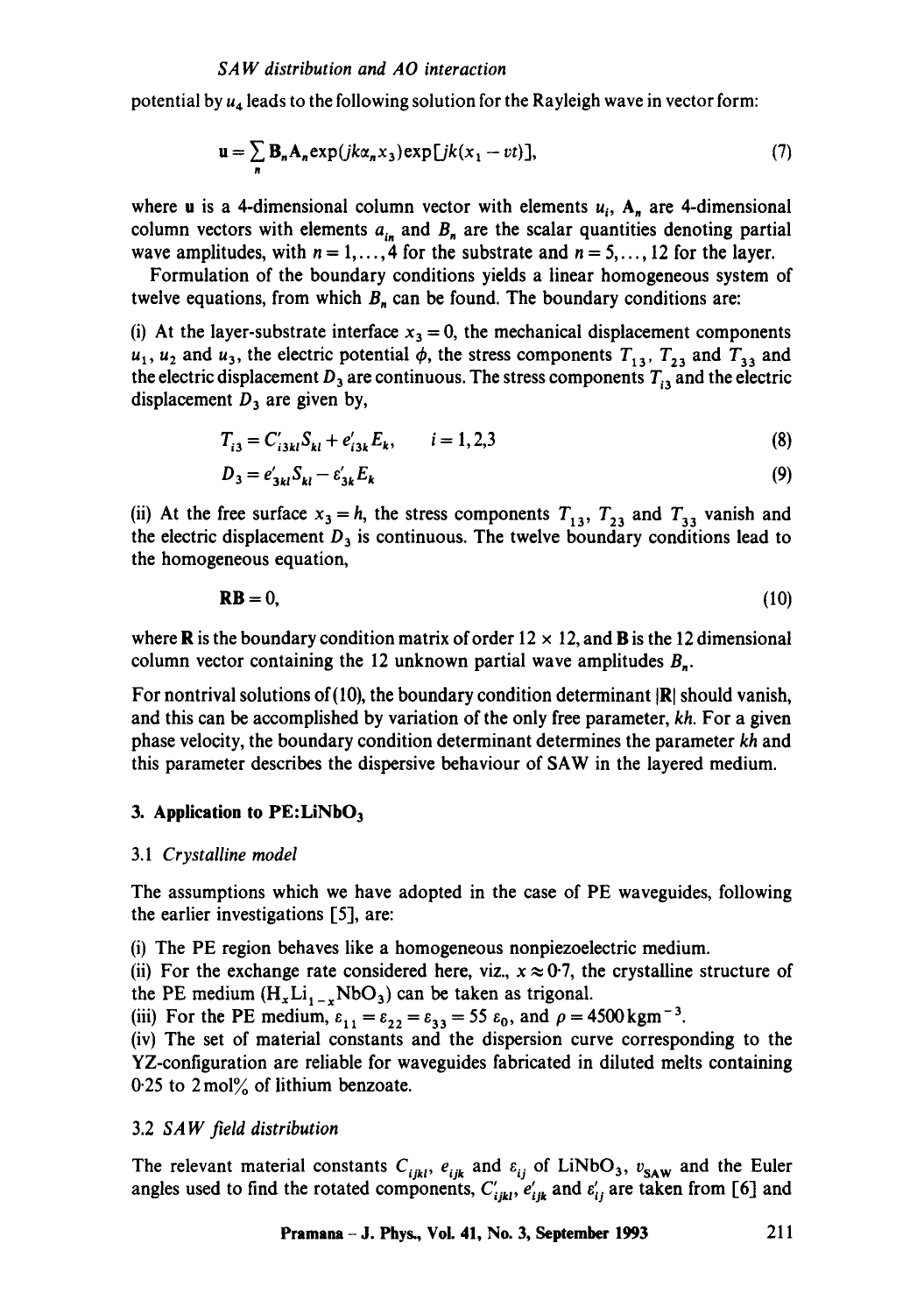potential by  $u_4$  leads to the following solution for the Rayleigh wave in vector form:

$$
\mathbf{u} = \sum_{n} \mathbf{B}_{n} \mathbf{A}_{n} \exp(jk\alpha_{n} x_{3}) \exp[jk(x_{1} - vt)], \qquad (7)
$$

where **u** is a 4-dimensional column vector with elements  $u_i$ ,  $A_n$  are 4-dimensional column vectors with elements  $a_{in}$  and  $B_n$  are the scalar quantities denoting partial wave amplitudes, with  $n = 1, ..., 4$  for the substrate and  $n = 5, ..., 12$  for the layer.

Formulation of the boundary conditions yields a linear homogeneous system of twelve equations, from which  $B_n$  can be found. The boundary conditions are:

(i) At the layer-substrate interface  $x_3 = 0$ , the mechanical displacement components  $u_1, u_2$  and  $u_3$ , the electric potential  $\phi$ , the stress components  $T_{13}$ ,  $T_{23}$  and  $T_{33}$  and the electric displacement  $D_3$  are continuous. The stress components  $T_{i3}$  and the electric displacement  $D_3$  are given by,

$$
T_{i3} = C'_{i3kl} S_{kl} + e'_{i3k} E_k, \qquad i = 1, 2, 3
$$
 (8)

$$
D_3 = e'_{3kl} S_{kl} - e'_{3k} E_k
$$
 (9)

(ii) At the free surface  $x_3 = h$ , the stress components  $T_{13}$ ,  $T_{23}$  and  $T_{33}$  vanish and the electric displacement  $D_3$  is continuous. The twelve boundary conditions lead to the homogeneous equation,

$$
\mathbf{RB} = 0,\tag{10}
$$

where **R** is the boundary condition matrix of order  $12 \times 12$ , and **B** is the 12 dimensional column vector containing the 12 unknown partial wave amplitudes  $B_n$ .

For nontrival solutions of (10), the boundary condition determinant  $|R|$  should vanish, and this can be accomplished by variation of the only free parameter, *kh.* For a given phase velocity, the boundary condition determinant determines the parameter *kh* and this parameter describes the dispersive behaviour of SAW in the layered medium.

## 3. Application to PE:LiNbO<sub>3</sub>

## 3.1 *Crystalline model*

The assumptions which we have adopted in the case of PE waveguides, following the earlier investigations [5], are:

(i) The PE region behaves like a homogeneous nonpiezoelectric medium.

(ii) For the exchange rate considered here, viz.,  $x \approx 0.7$ , the crystalline structure of the PE medium  $(H_xLi_{1-x}NbO_3)$  can be taken as trigonal.

(iii) For the PE medium,  $\varepsilon_{11} = \varepsilon_{22} = \varepsilon_{33} = 55 \varepsilon_0$ , and  $\rho = 4500 \text{ kgm}^{-3}$ .

(iv) The set of material constants and the dispersion curve corresponding to the YZ-configuration are reliable for waveguides fabricated in diluted melts containing  $0.25$  to  $2 \text{ mol}$ % of lithium benzoate.

## 3.2 *SAW field distribution*

The relevant material constants  $C_{ijkl}$ ,  $e_{ijk}$  and  $\varepsilon_{ij}$  of LiNbO<sub>3</sub>,  $v_{SAW}$  and the Euler angles used to find the rotated components,  $C'_{ijk}$ ,  $e'_{ijk}$  and  $e'_{ij}$  are taken from [6] and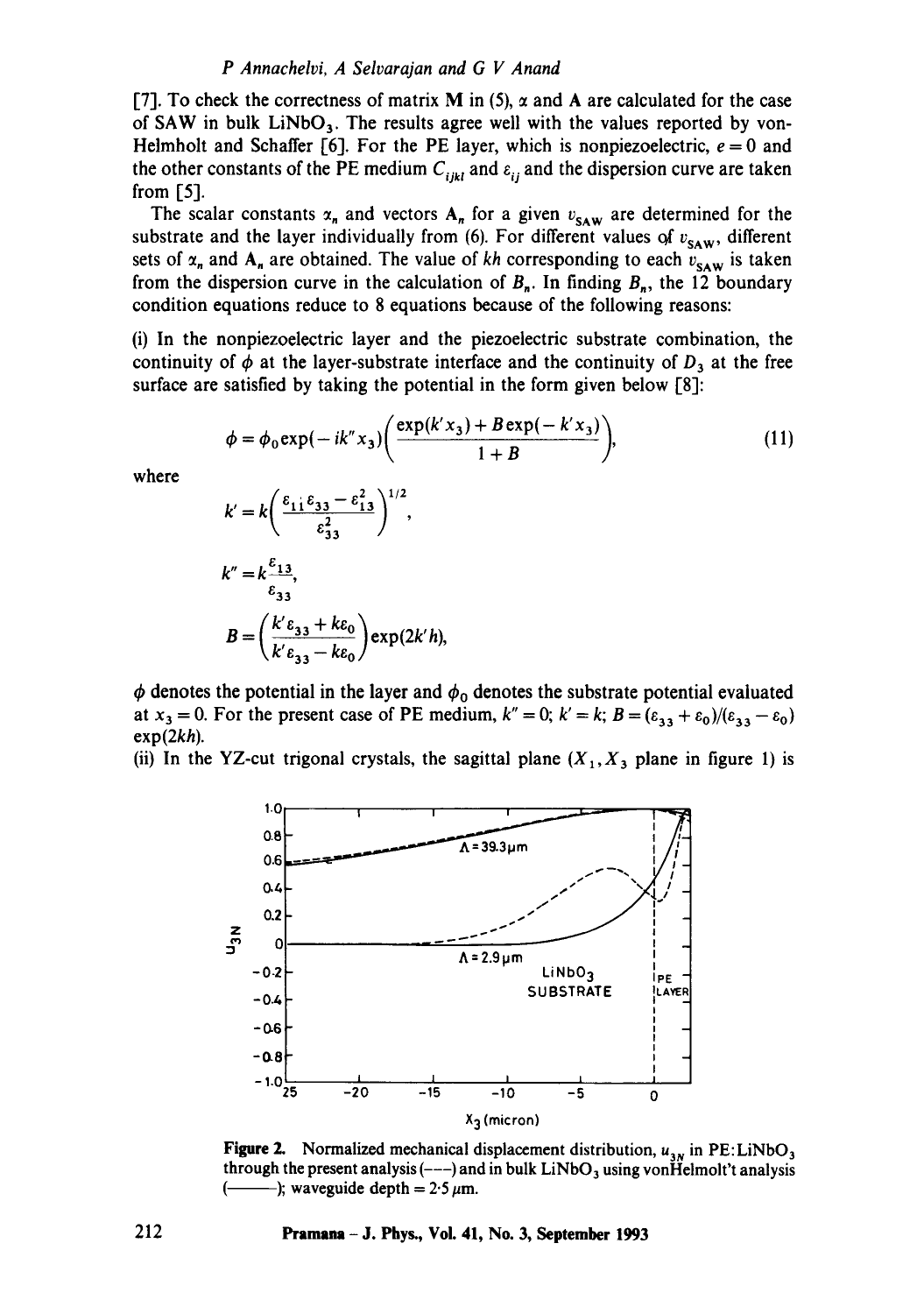#### *P Annachelvi, A Selvarajan and G Y Anand*

[7]. To check the correctness of matrix **M** in (5),  $\alpha$  and **A** are calculated for the case of SAW in bulk  $LiNbO<sub>3</sub>$ . The results agree well with the values reported by von-Helmholt and Schaffer [6]. For the PE layer, which is nonpiezoelectric,  $e = 0$  and the other constants of the PE medium  $C_{ijkl}$  and  $\varepsilon_{ij}$  and the dispersion curve are taken from [5].

The scalar constants  $x_n$  and vectors  $A_n$  for a given  $v_{saw}$  are determined for the substrate and the layer individually from (6). For different values of  $v_{SAW}$ , different sets of  $x_n$  and  $A_n$  are obtained. The value of kh corresponding to each  $v_{SAW}$  is taken from the dispersion curve in the calculation of  $B_n$ . In finding  $B_n$ , the 12 boundary condition equations reduce to 8 equations because of the following reasons:

(i) In the nonpiezoelectric layer and the piezoelectric substrate combination, the continuity of  $\phi$  at the layer-substrate interface and the continuity of  $D_3$  at the free surface are satisfied by taking the potential in the form given below [8]:

$$
\phi = \phi_0 \exp(-ik''x_3) \bigg( \frac{\exp(k'x_3) + B\exp(-k'x_3)}{1+B} \bigg), \tag{11}
$$

where  
\n
$$
k' = k \left( \frac{\varepsilon_{11} \varepsilon_{33} - \varepsilon_{13}^2}{\varepsilon_{33}^2} \right)^{1/2},
$$
\n
$$
k'' = k \frac{\varepsilon_{13}}{\varepsilon_{33}},
$$
\n
$$
B = \left( \frac{k' \varepsilon_{33} + k \varepsilon_0}{k' \varepsilon_{33} - k \varepsilon_0} \right) \exp(2k'h),
$$

 $\phi$  denotes the potential in the layer and  $\phi_0$  denotes the substrate potential evaluated at  $x_3 = 0$ . For the present case of PE medium,  $k'' = 0$ ;  $k' = k$ ;  $B = (\varepsilon_{33} + \varepsilon_0)/(\varepsilon_{33} - \varepsilon_0)$  $exp(2kh)$ .

(ii) In the YZ-cut trigonal crystals, the sagittal plane  $(X_1, X_3)$  plane in figure 1) is



Figure 2. Normalized mechanical displacement distribution,  $u_{3N}$  in PE:LiNbO<sub>3</sub> through the present analysis  $(--)$  and in bulk  $LiNbO<sub>3</sub>$  using vonHelmolt't analysis -); waveguide depth =  $2.5 \mu m$ .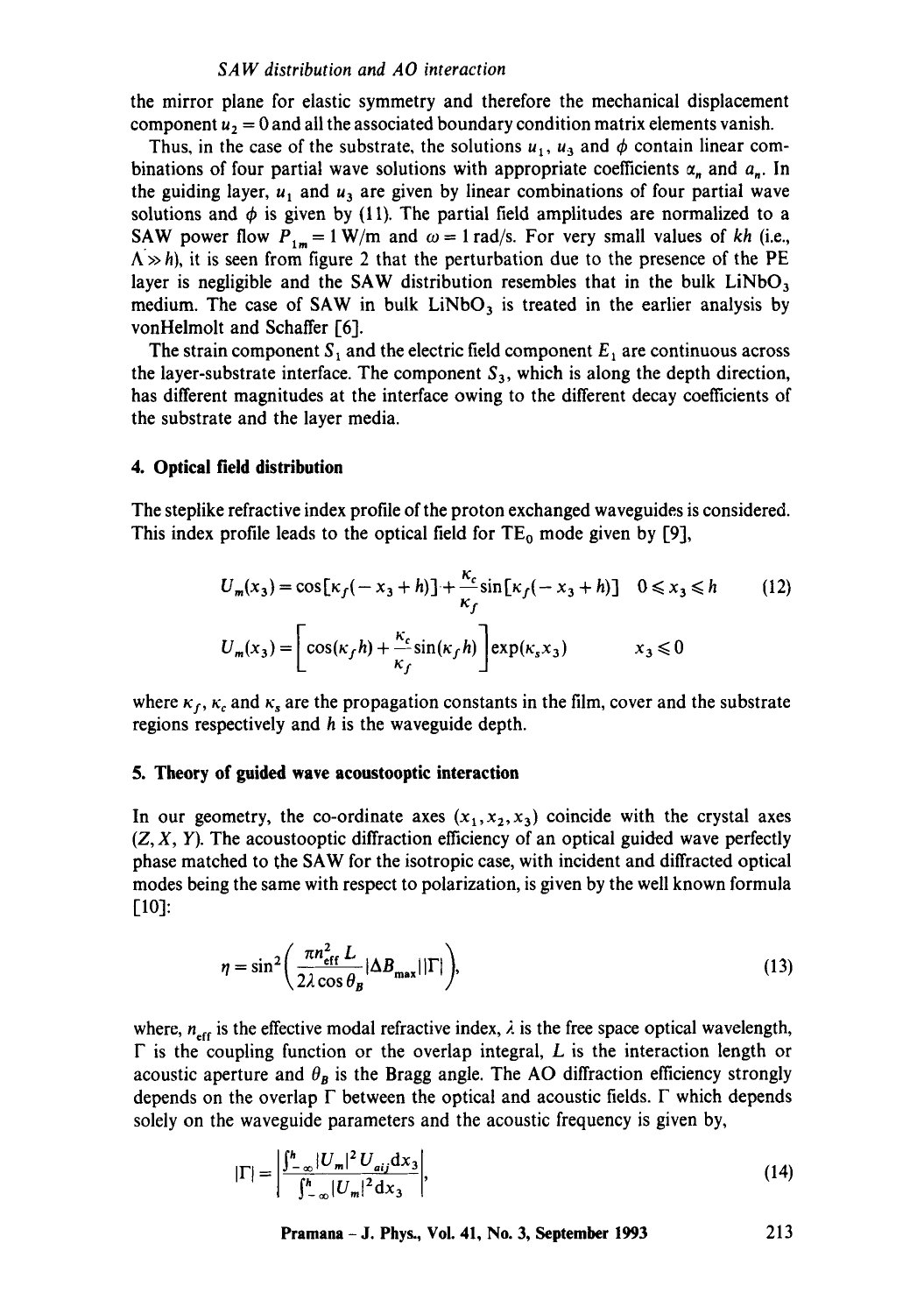#### *SAW distribution and AO interaction*

the mirror plane for elastic symmetry and therefore the mechanical displacement component  $u_2 = 0$  and all the associated boundary condition matrix elements vanish.

Thus, in the case of the substrate, the solutions  $u_1$ ,  $u_3$  and  $\phi$  contain linear combinations of four partial wave solutions with appropriate coefficients  $\alpha_n$  and  $a_n$ . In the guiding layer,  $u_1$  and  $u_3$  are given by linear combinations of four partial wave solutions and  $\phi$  is given by (11). The partial field amplitudes are normalized to a SAW power flow  $P_{1m} = 1$  W/m and  $\omega = 1$  rad/s. For very small values of *kh* (i.e.,  $(\Lambda \gg h)$ , it is seen from figure 2 that the perturbation due to the presence of the PE layer is negligible and the SAW distribution resembles that in the bulk  $LiNbO<sub>3</sub>$ medium. The case of SAW in bulk  $LiNbO<sub>3</sub>$  is treated in the earlier analysis by vonHelmolt and Schaffer [6].

The strain component  $S_1$  and the electric field component  $E_1$  are continuous across the layer-substrate interface. The component  $S_3$ , which is along the depth direction, has different magnitudes at the interface owing to the different decay coefficients of the substrate and the layer media.

#### **4. Optical field distribution**

The steplike refractive index profile of the proton exchanged waveguides is considered. This index profile leads to the optical field for  $TE_0$  mode given by [9],

$$
U_m(x_3) = \cos\left[\kappa_f(-x_3 + h)\right] + \frac{\kappa_c}{\kappa_f}\sin\left[\kappa_f(-x_3 + h)\right] \quad 0 \le x_3 \le h \tag{12}
$$
  

$$
U_m(x_3) = \left[\cos\left(\kappa_f h\right) + \frac{\kappa_c}{\kappa_f}\sin\left(\kappa_f h\right)\right] \exp\left(\kappa_s x_3\right) \qquad x_3 \le 0
$$

where  $\kappa_f$ ,  $\kappa_c$  and  $\kappa_s$  are the propagation constants in the film, cover and the substrate regions respectively and h is the waveguide depth.

#### **5. Theory of guided wave acoustooptic interaction**

In our geometry, the co-ordinate axes  $(x_1, x_2, x_3)$  coincide with the crystal axes  $(Z, X, Y)$ . The acoustooptic diffraction efficiency of an optical guided wave perfectly phase matched to the SAW for the isotropic case, with incident and diffracted optical modes being the same with respect to polarization, is given by the well known formula [10]:

$$
\eta = \sin^2\left(\frac{\pi n_{\rm eff}^2 L}{2\lambda \cos \theta_B} |\Delta B_{\rm max}| |\Gamma|\right),\tag{13}
$$

where,  $n_{\text{eff}}$  is the effective modal refractive index,  $\lambda$  is the free space optical wavelength,  $\Gamma$  is the coupling function or the overlap integral, L is the interaction length or acoustic aperture and  $\theta_B$  is the Bragg angle. The AO diffraction efficiency strongly depends on the overlap  $\Gamma$  between the optical and acoustic fields.  $\Gamma$  which depends solely on the waveguide parameters and the acoustic frequency is given by,

$$
|\Gamma| = \left| \frac{\int_{-\infty}^{h} |U_m|^2 U_{aij} \, dx_3}{\int_{-\infty}^{h} |U_m|^2 \, dx_3} \right|,\tag{14}
$$

**Pramana - J. Phys., Vol. 41, No. 3, September 1993 213**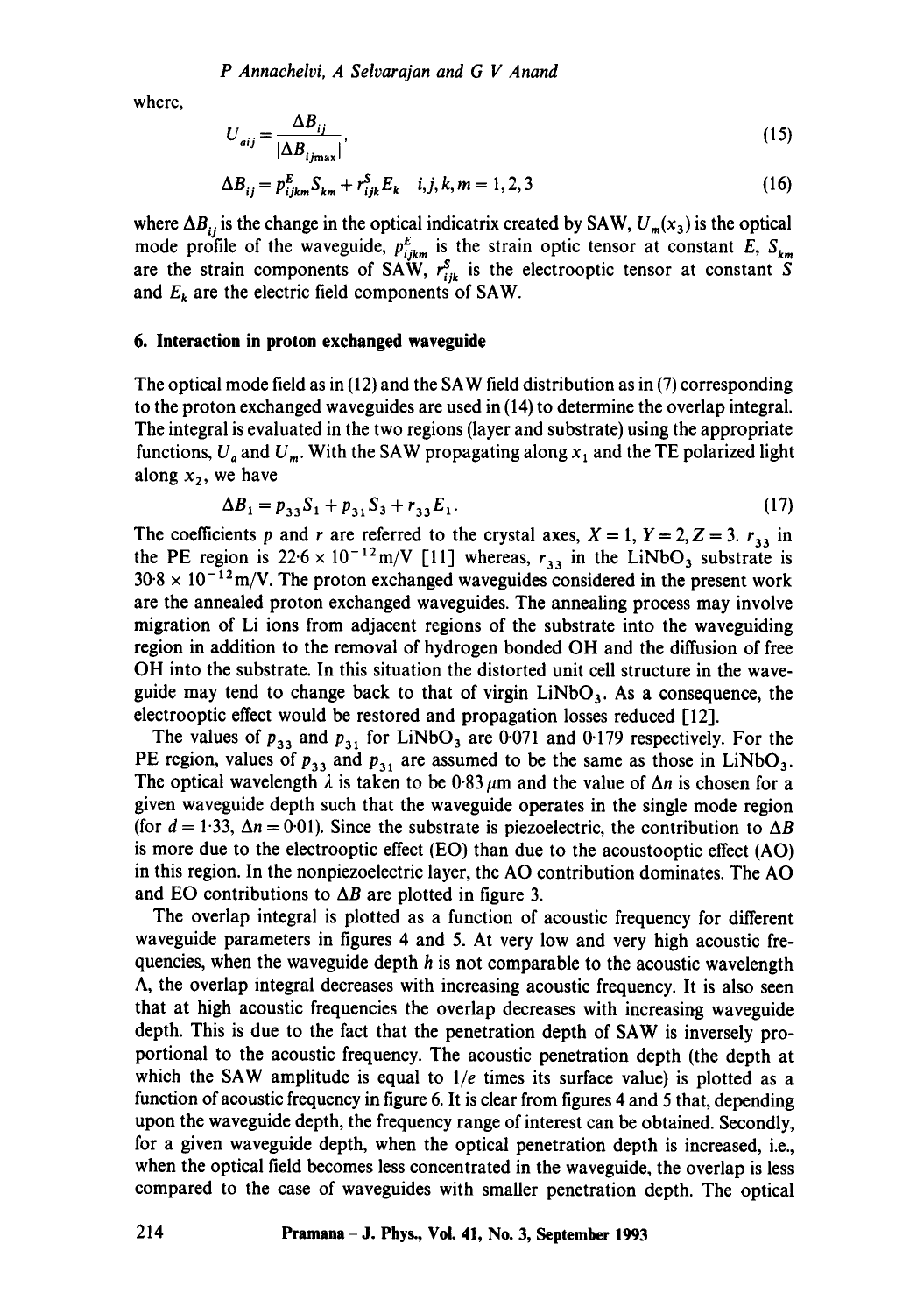where,

$$
U_{aij} = \frac{\Delta B_{ij}}{|\Delta B_{ijmax}|},\tag{15}
$$

$$
\Delta B_{ij} = p_{ijkm}^E S_{km} + r_{ijk}^S E_k \quad i, j, k, m = 1, 2, 3
$$
 (16)

where  $\Delta B_{ij}$  is the change in the optical indicatrix created by SAW,  $U_m(x_3)$  is the optical mode profile of the waveguide,  $p_{iikm}^E$  is the strain optic tensor at constant E,  $S_{km}$ are the strain components of SAW,  $r_{ijk}^S$  is the electrooptic tensor at constant S and  $E_k$  are the electric field components of SAW.

#### **6. Interaction in proton exchanged waveguide**

The optical mode field as in (12) and the SAW field distribution as in (7) corresponding to the proton exchanged waveguides are used in (14) to determine the overlap integral. The integral is evaluated in the two regions (layer and substrate) using the appropriate functions,  $U_a$  and  $U_m$ . With the SAW propagating along  $x_1$  and the TE polarized light along  $x_2$ , we have

$$
\Delta B_1 = p_{33} S_1 + p_{31} S_3 + r_{33} E_1. \tag{17}
$$

The coefficients p and r are referred to the crystal axes,  $X = 1$ ,  $Y = 2$ ,  $Z = 3$ .  $r_{33}$  in the PE region is  $22.6 \times 10^{-12}$  m/V [11] whereas,  $r_{33}$  in the LiNbO<sub>3</sub> substrate is  $30.8 \times 10^{-12}$  m/V. The proton exchanged waveguides considered in the present work are the annealed proton exchanged waveguides. The annealing process may involve migration of Li ions from adjacent regions of the substrate into the waveguiding region in addition to the removal of hydrogen bonded OH and the diffusion of free OH into the substrate. In this situation the distorted unit cell structure in the waveguide may tend to change back to that of virgin  $LiNbO<sub>3</sub>$ . As a consequence, the electrooptic effect would be restored and propagation losses reduced [12].

The values of  $p_{33}$  and  $p_{31}$  for LiNbO<sub>3</sub> are 0.071 and 0.179 respectively. For the PE region, values of  $p_{33}$  and  $p_{31}$  are assumed to be the same as those in LiNbO<sub>3</sub>. The optical wavelength  $\lambda$  is taken to be 0.83  $\mu$ m and the value of  $\Delta n$  is chosen for a given waveguide depth such that the waveguide operates in the single mode region (for  $d = 1.33$ ,  $\Delta n = 0.01$ ). Since the substrate is piezoelectric, the contribution to  $\Delta B$ is more due to the electrooptic effect (EO) than due to the acoustooptic effect (AO) in this region. In the nonpiezoelectric layer, the AO contribution dominates. The AO and EO contributions to  $\Delta B$  are plotted in figure 3.

The overlap integral is plotted as a function of acoustic frequency for different waveguide parameters in figures 4 and 5. At very low and very high acoustic frequencies, when the waveguide depth  $h$  is not comparable to the acoustic wavelength A, the overlap integral decreases with increasing acoustic frequency. It is also seen that at high acoustic frequencies the overlap decreases with increasing waveguide depth. This is due to the fact that the penetration depth of SAW is inversely proportional to the acoustic frequency. The acoustic penetration depth (the depth at which the SAW amplitude is equal to  $1/e$  times its surface value) is plotted as a function of acoustic frequency in figure 6. It is clear from figures 4 and 5 that, depending upon the waveguide depth, the frequency range of interest can be obtained. Secondly, for a given waveguide depth, when the optical penetration depth is increased, i.e., when the optical field becomes less concentrated in the waveguide, the overlap is less compared to the case of waveguides with smaller penetration depth. The optical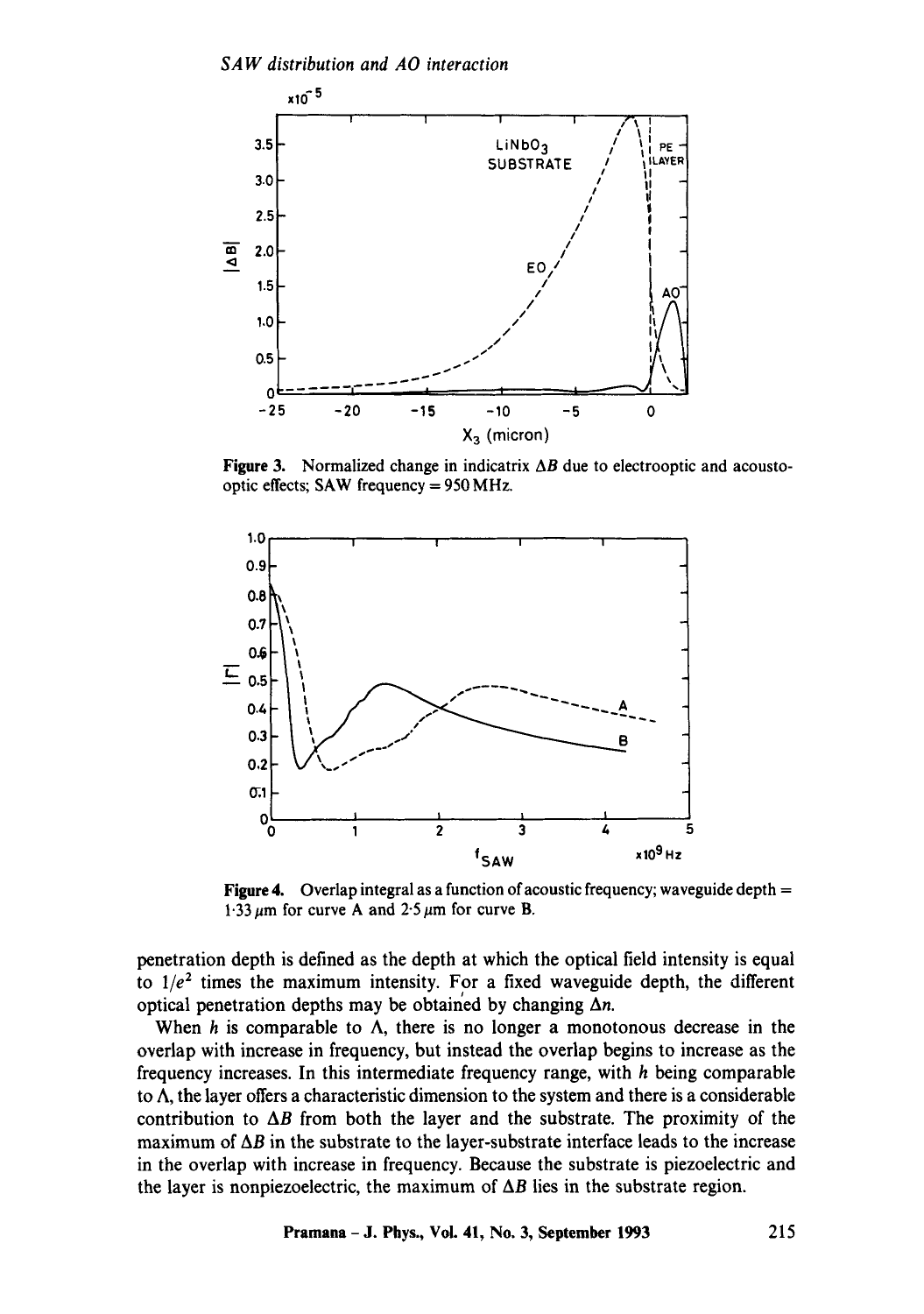

**Figure 3.** Normalized change in indicatrix  $\Delta B$  due to electrooptic and acoustooptic effects; SAW frequency = 950 MHz.



**Figure 4.** Overlap integral as a function of acoustic frequency; waveguide depth = 1.33  $\mu$ m for curve A and 2.5  $\mu$ m for curve B.

penetration depth is defined as the depth at which the optical field intensity is equal to  $1/e^2$  times the maximum intensity. For a fixed waveguide depth, the different optical penetration depths may be obtained by changing  $\Delta n$ .

When  $h$  is comparable to  $\Lambda$ , there is no longer a monotonous decrease in the overlap with increase in frequency, but instead the overlap begins to increase as the frequency increases. In this intermediate frequency range, with h being comparable to A, the layer offers a characteristic dimension to the system and there is a considerable contribution to  $\Delta B$  from both the layer and the substrate. The proximity of the maximum of  $\Delta B$  in the substrate to the layer-substrate interface leads to the increase in the overlap with increase in frequency. Because the substrate is piezoelectric and the layer is nonpiezoelectric, the maximum of  $\Delta B$  lies in the substrate region.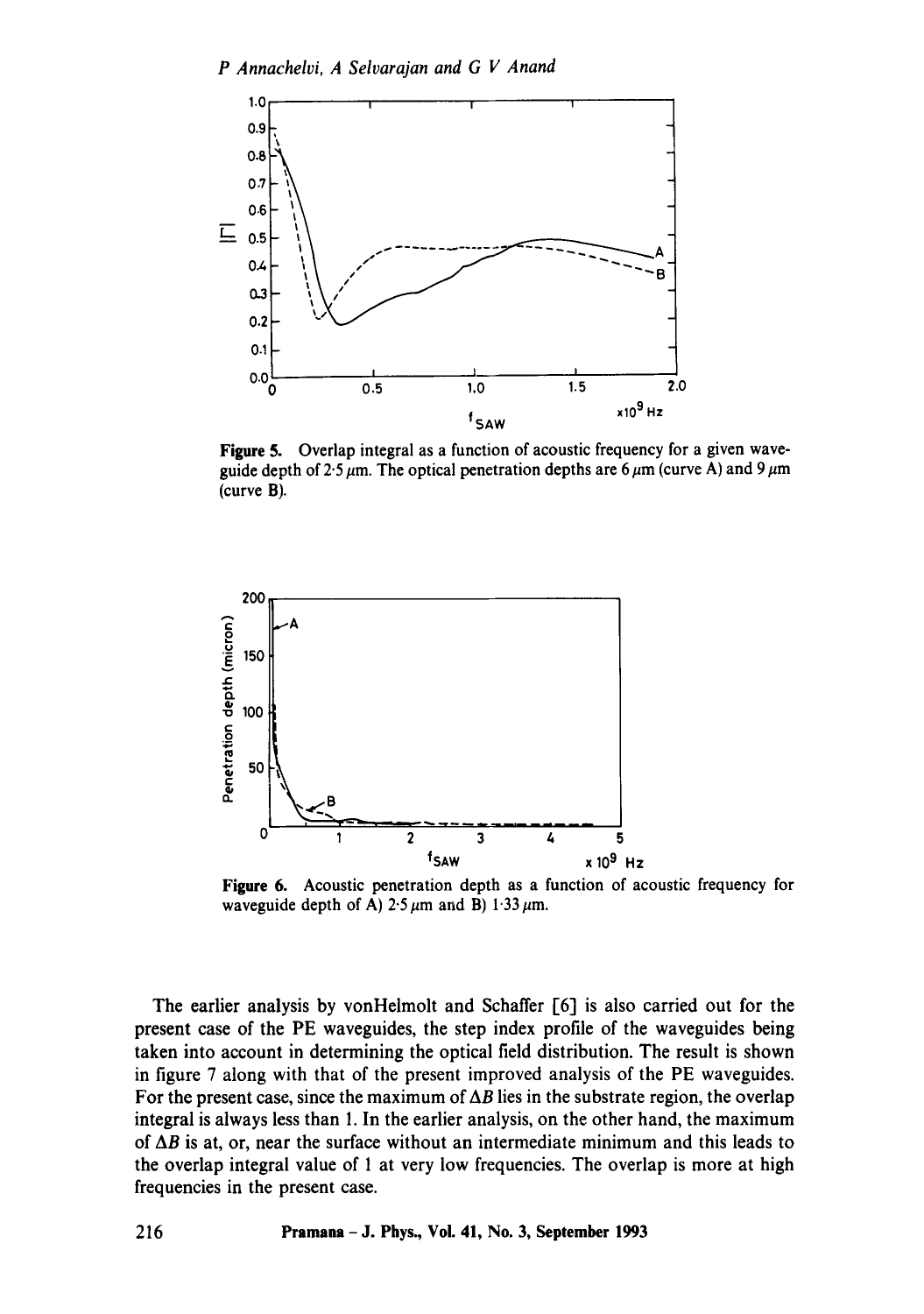

**Figure** 5. Overlap integral as a function of acoustic frequency for a given waveguide depth of 2.5  $\mu$ m. The optical penetration depths are 6  $\mu$ m (curve A) and 9  $\mu$ m (curve B).



**Figure** 6. Acoustic penetration depth as a function of acoustic frequency for waveguide depth of A)  $2.5 \mu m$  and B)  $1.33 \mu m$ .

The earlier analysis by vonHelmolt and Schaffer [6] is also carried out for the present case of the PE waveguides, the step index profile of the waveguides being taken into account in determining the optical field distribution. The result is shown in figure 7 along with that of the present improved analysis of the PE waveguides. For the present case, since the maximum of  $\Delta B$  lies in the substrate region, the overlap integral is always less than 1. In the earlier analysis, on the other hand, the maximum of  $\Delta B$  is at, or, near the surface without an intermediate minimum and this leads to the overlap integral value of 1 at very low frequencies. The overlap is more at high frequencies in the present case.